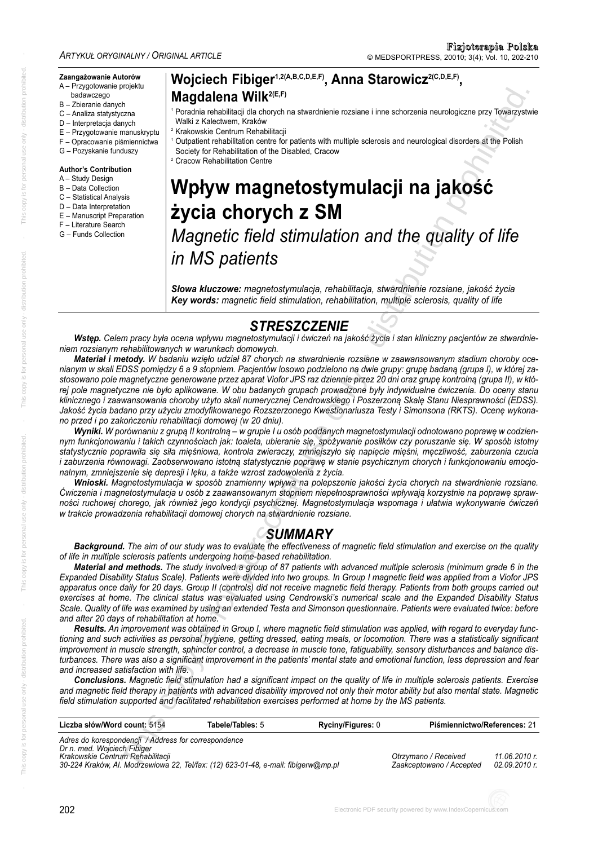#### **Zaangażowanie Autorów**

- A Przygotowanie projektu badawczego
- B Zbieranie danych
- C Analiza statystyczna
- D Interpretacja danych
- E Przygotowanie manuskryptu
- F Opracowanie piśmiennictwa
- G Pozyskanie funduszy

#### **Author's Contribution**

- A Study Design
- B Data Collection
- C Statistical Analysis
- D Data Interpretation
- E Manuscript Preparation
- F Literature Search
- G Funds Collection

## Wojciech Fibiger<sup>1,2(A,B,C,D,E,F)</sup>, Anna Starowicz<sup>2(C,D,E,F)</sup>, **Magdalena Wilk<sup>2(E,F)</sup>**

- <sup>1</sup> Poradnia rehabilitacji dla chorych na stwardnienie rozsiane i inne schorzenia neurologiczne przy Towarzystwie Walki z Kalectwem, Kraków
- <sup>2</sup> Krakowskie Centrum Rehabilitacji
- <sup>1</sup> Outpatient rehabilitation centre for patients with multiple sclerosis and neurological disorders at the Polish Society for Rehabilitation of the Disabled, Cracow

<sup>2</sup> Cracow Rehabilitation Centre

# **Wpływ magnetostymulacji na jakość życia chorych z SM**

*Magnetic field stimulation and the quality of life in MS patients*

*Słowa kluczowe: magnetostymulacja, rehabilitacja, stwardnienie rozsiane, jakość życia Key words: magnetic field stimulation, rehabilitation, multiple sclerosis, quality of life*

# *STRESZCZENIE*

Wstęp. Celem pracy była ocena wpływu magnetostymulacji i ćwiczeń na jakość życia i stan kliniczny pacjentów ze stwardnie*niem roz sia nym re ha bi li to wa nych w wa run kach do mo wych.*

Materiał i metody. W badaniu wzięło udział 87 chorych na stwardnienie rozsiane w zaawansowanym stadium choroby ocenianym w skali EDSS pomiędzy 6 a 9 stopniem. Pacjentów losowo podzielono na dwie grupy: grupę badaną (grupa I), w której zastosowano pole magnetyczne generowane przez aparat Viofor JPS raz dziennie przez 20 dni oraz grupę kontrolną (grupa II), w której pole magnetyczne nie było aplikowane. W obu badanych grupach prowadzone były indywidualne ćwiczenia. Do oceny stanu klinicznego i zaawansowania choroby użyto skali numerycznej Cendrowskiego i Poszerzoną Skale Stanu Niesprawności (EDSS). Jakość życia badano przy użyciu zmodyfikowanego Rozszerzonego Kwestionariusza Testy i Simonsona (RKTS). Ocenę wykona*no przed i po za koń cze niu re ha bi li ta cji do mo wej (w 20 dniu).* Magnetic methods with the state of the state of the state of the state of the state of the state of the state of the state of the state of the state of the state of the state of the state of the state of the state of the

Wyniki. W porównaniu z grupą II kontrolną – w grupie I u osób poddanych magnetostymulacji odnotowano poprawe w codziennym funkcjonowaniu i takich czynnościach jak: toaleta, ubieranie się, spożywanie posiłków czy poruszanie się. W sposób istotny statystycznie poprawiła się siła mięśniowa, kontrola zwieraczy, zmniejszyło się napięcie mięśni, męczliwość, zaburzenia czucia *i zaburzenia równowagi. Zaobserwowano istotną statystycznie poprawę w stanie psychicznym chorych i funkcjonowaniu emocjonal nym, zmniej sze nie się de pre sji i lę ku, a ta kże wzrost za do wo le nia z ży cia.*

Wnioski. Magnetostymulacja w sposób znamienny wpływa na polepszenie jakości życia chorych na stwardnienie rozsiane. *Ćwi cze nia i ma gne to sty mu la cja u osób z za awan so wa nym stop niem nie peł no spraw no ści wpły wa ją ko rzyst nie na po pra wę spraw no ści ru cho wej cho re go, jak rów nież je go kon dy cji psy chicz nej. Ma gne to sty mu la cja wspo ma ga i uła twia wy ko ny wa nie ćwi czeń w trak cie pro wa dze nia re ha bi li ta cji do mo wej cho rych na stward nie nie roz sia ne.*

# *SUMMARY*

*Background. The aim of our study was to evaluate the effectiveness of magnetic field stimulation and exercise on the quality of life in multiple sclerosis patients undergoing home-based rehabilitation.*

*Material and methods. The study involved a group of 87 patients with advanced multiple sclerosis (minimum grade 6 in the Expanded Disability Status Scale). Patients were divided into two groups. In Group I magnetic field was applied from a Viofor JPS apparatus once daily for 20 days. Group II (controls) did not receive magnetic field therapy. Patients from both groups carried out exercises at home. The clinical status was evaluated using Cendrowski's numerical scale and the Expanded Disability Status Scale. Quality of life was examined by using an extended Testa and Simonson questionnaire. Patients were evaluated twice: before and after 20 days of rehabilitation at home.* 

*Results. An improvement was obtained in Group I, where magnetic field stimulation was applied, with regard to everyday func tioning and such activities as personal hygiene, getting dressed, eating meals, or locomotion. There was a statistically significant impro vement in muscle strength, sphincter control, a decrease in muscle tone, fatiguability, sensory disturbances and balance dis tur bances. There was also a significant improvement in the patients' mental state and emotional function, less depression and fear and increased satisfaction with life.*

*Conclusions. Magnetic field stimulation had a significant impact on the quality of life in multiple sclerosis patients. Exercise and magnetic field therapy in patients with advanced disability improved not only their motor ability but also mental state. Magnetic field stimulation supported and facilitated rehabilitation exercises performed at home by the MS patients.*

| Liczba słów/Word count: 5154                                                                                                                                                                                  | Tabele/Tables: 5 | <b>Ryciny/Figures: 0</b> | Piśmiennictwo/References: 21                     |                                |
|---------------------------------------------------------------------------------------------------------------------------------------------------------------------------------------------------------------|------------------|--------------------------|--------------------------------------------------|--------------------------------|
| Adres do korespondencji / Address for correspondence<br>Dr n. med. Wojciech Fibiger<br>Krakowskie Centrum Rehabilitacji<br>30-224 Kraków, Al. Modrzewiowa 22, Tel/fax: (12) 623-01-48, e-mail: fibigerw@mp.pl |                  |                          | Otrzymano / Received<br>Zaakceptowano / Accepted | 11.06.2010 r.<br>02.09.2010 r. |

copy is for personal use only -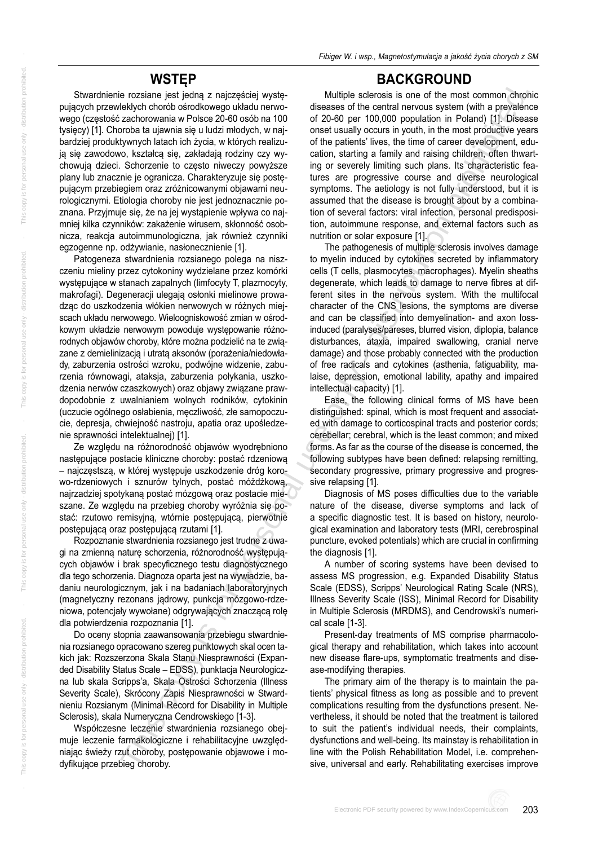Stwardnienie rozsiane jest jedną z najczęściej występujących przewlekłych chorób ośrodkowego układu nerwowego (częstość zachorowania w Polsce 20-60 osób na 100 tysięcy) [1]. Choroba ta ujawnia się u ludzi młodych, w najbardziej produktywnych latach ich życia, w których realizują się zawodowo, kształcą się, zakładają rodziny czy wychowują dzieci. Schorzenie to często niweczy powyższe plany lub znacznie je ogranicza. Charakteryzuje się postępującym przebiegiem oraz zróżnicowanymi objawami neurologicznymi. Etiologia choroby nie jest jednoznacznie poznana. Przyjmuje się, że na jej wystąpienie wpływa co najmniej kilka czynników: zakażenie wirusem, skłonność osobnicza, reakcja autoimmunologiczna, jak również czynniki egzogenne np. odżywianie, nasłonecznienie [1].

Patogeneza stwardnienia rozsianego polega na niszczeniu mieliny przez cytokoniny wydzielane przez komórki wy stępujące w stanach zapalnych (limfocyty T, plazmocyty, makrofagi). Degeneracji ulegają osłonki mielinowe prowadząc do uszkodzenia włókien nerwowych w różnych miejscach układu nerwowego. Wieloogniskowość zmian w ośrodkowym układzie nerwowym powoduje występowanie różnorodnych objawów choroby, które można podzielić na te związane z demielinizacją i utratą aksonów (porażenia/niedowłady, zaburzenia ostrości wzroku, podwójne widzenie, zaburzenia równowagi, ataksja, zaburzenia połykania, uszkodzenia nerwów czaszkowych) oraz objawy związane prawdopodobnie z uwalnianiem wolnych rodników, cytokinin (uczucie ogólnego osłabienia, męczliwość, złe samopoczucie, depresja, chwiejność nastroju, apatia oraz upośledzenie sprawności intelektualnej) [1].

Ze względu na różnorodność objawów wyodrębniono na stępujące postacie kliniczne choroby: postać rdzeniową – najczęstszą, w której występuje uszkodzenie dróg korowo-rdzeniowych i sznurów tylnych, postać móżdżkową, najrzadziej spotykaną postać mózgową oraz postacie mieszane. Ze względu na przebieg choroby wyróżnia się postać: rzutowo remisyjną, wtórnie postępującą, pierwotnie postępującą oraz postępującą rzutami [1].

Rozpoznanie stwardnienia rozsianego jest trudne z uwagi na zmienną naturę schorzenia, różnorodność występujących objawów i brak specyficznego testu diagnostycznego dla tego schorzenia. Diagnoza oparta jest na wywiadzie, badaniu neurologicznym, jak i na badaniach laboratoryjnych (magnetyczny rezonans jądrowy, punkcja mózgowo-rdzeniowa, potencjały wywołane) odgrywających znaczącą rolę dla potwierdzenia rozpoznania [1].

Do oceny stopnia zaawan sowania przebiegu stwardnienia rozsianego opracowano szereg punktowych skal ocen takich jak: Rozszerzona Skala Stanu Niesprawności (Expanded Disability Status Scale – EDSS), punktacja Neurologiczna lub skala Scripps'a, Skala Ostrości Schorzenia (Illness Severity Scale), Skrócony Zapis Niesprawności w Stwardnieniu Rozsianym (Minimal Record for Disability in Multiple Sclerosis), skala Numeryczna Cendrowskiego [1-3].

Współczesne leczenie stwardnienia rozsianego obejmuje leczenie farmakologiczne i rehabilitacyjne uwzględniając świeży rzut choroby, postępowanie objawowe i mody fikujące przebieg choroby.

#### **BACKGROUND**

Multiple sclerosis is one of the most common chronic diseases of the central nervous system (with a prevalence of 20-60 per 100,000 population in Poland) [1]. Disease onset usually occurs in youth, in the most productive years of the patients' lives, the time of career development, education, starting a family and raising children, often thwarting or severely limiting such plans. Its characteristic features are progressive course and diverse neurological symptoms. The aetiology is not fully understood, but it is assumed that the disease is brought about by a combina tion of several factors: viral infection, personal predisposition, autoimmune response, and external factors such as nutrition or solar exposure [1].

The pathogenesis of multiple sclerosis involves damage to myelin induced by cytokines secreted by inflammatory cells (T cells, plasmocytes, macrophages). Myelin sheaths degenerate, which leads to damage to nerve fibres at different sites in the nervous system. With the multifocal character of the CNS lesions, the symptoms are diverse and can be classified into demyelination- and axon lossinduced (paralyses/pareses, blurred vision, diplopia, balance disturbances, ataxia, impaired swallowing, cranial nerve damage) and those probably connected with the production of free radicals and cytokines (asthenia, fatiguability, malaise, depression, emotional lability, apathy and impaired intellectual capacity) [1]. examele air and the material is the not of the not of the material consistent in the material is for personal user and the material is the material is the material is the material is the material of the material is the mat

Ease, the following clinical forms of MS have been distinguished: spinal, which is most frequent and associated with damage to corticospinal tracts and posterior cords; cerebellar; cerebral, which is the least common; and mixed forms. As far as the course of the disease is concerned, the following subtypes have been defined: relapsing remitting, secondary progressive, primary progressive and progressive relapsing [1].

Diagnosis of MS poses difficulties due to the variable nature of the disease, diverse symptoms and lack of a specific diagnostic test. It is based on history, neurological examination and laboratory tests (MRI, cerebrospinal puncture, evoked potentials) which are crucial in confirming the diagnosis [1].

A number of scoring systems have been devised to assess MS progression, e.g. Expanded Disability Status Scale (EDSS), Scripps' Neurological Rating Scale (NRS), Illness Severity Scale (ISS), Minimal Record for Disability in Multiple Sclerosis (MRDMS), and Cendrowski's numerical scale [1-3].

Present-day treatments of MS comprise pharmacological therapy and rehabilitation, which takes into account new disease flare-ups, symptomatic treatments and dise ase-modifying therapies.

The primary aim of the therapy is to maintain the patients' physical fitness as long as possible and to prevent complications resulting from the dysfunctions present. Ne vertheless, it should be noted that the treatment is tailored to suit the patient's individual needs, their complaints, dysfunctions and well-being. Its mainstay is rehabilitation in line with the Polish Rehabilitation Model, i.e. comprehensive, universal and early. Rehabilitating exercises improve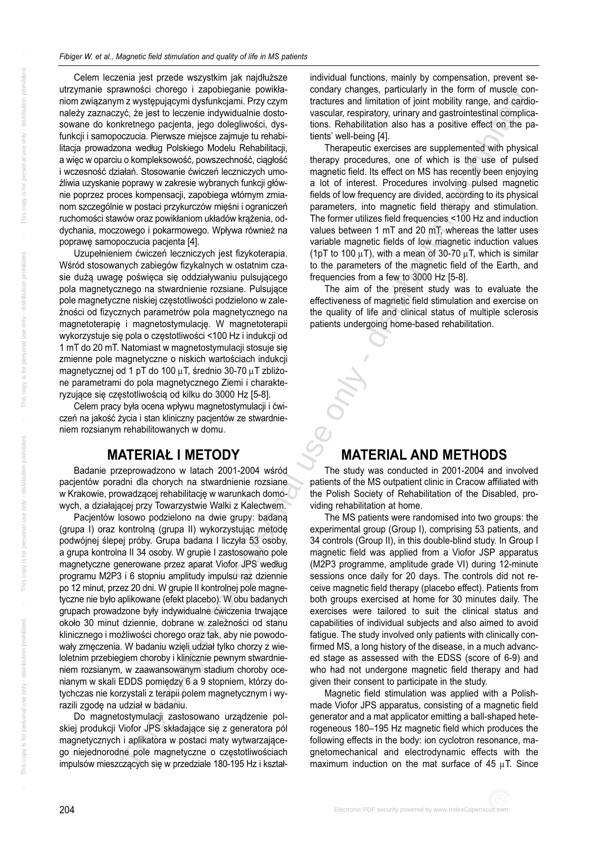Celem leczenia jest przede wszystkim jak najdłuższe utrzymanie sprawności chorego i zapobieganie powikłaniom związanym z występującymi dysfunkcjami. Przy czym należy zaznaczyć, że jest to leczenie indywidualnie dostosowane do konkretnego pacjenta, jego dolegliwości, dysfunkcji i samopoczucia. Pierwsze miejsce zajmuje tu rehabilitacja prowadzona według Polskiego Modelu Rehabilitacji, a więc w oparciu o komplek sowość, powszechność, ciągłość i wczesność działań. Stosowanie ćwiczeń leczniczych umożliwia uzyskanie poprawy w zakresie wybranych funkcji głównie poprzez proces kompensacji, zapobiega wtórnym zmianom szczególnie w postaci przykurczów mięśni i ograniczeń ru cho mości stawów oraz powikłaniom układów krążenia, oddychania, moczowego i pokarmowego. Wpływa również na poprawę samopoczucia pacienta [4].

Uzupełnieniem ćwiczeń leczniczych jest fizykoterapia. Wśród stosowanych zabiegów fizykalnych w ostatnim czasie dużą uwagę poświęca się oddziaływaniu pulsującego pola magnetycznego na stwardnienie rozsiane. Pulsujące pole magnetyczne niskiej częstotliwości podzielono w zależności od fizycznych parametrów pola magnetycznego na magnetoterapię i magnetostymulację. W magnetoterapii wykorzystuje się pola o częstotliwości <100 Hz i indukcji od 1 mT do 20 mT. Natomiast w magnetostymulacji stosuje się zmienne pole magnetyczne o niskich wartościach indukcji magnetycznej od 1 pT do 100 μT, średnio 30-70 μT zbliżone parametrami do pola magnetycznego Ziemi i charakteryzujące się czę stotliwością od kilku do 3000 Hz [5-8].

Celem pracy była ocena wpływu magnetostymulacji i ćwiczeń na jakość życia i stan kliniczny pacjentów ze stwardnieniem rozsianym rehabilitowanych w domu.

## **MA TE RIAŁ I ME TO DY**

Badanie przeprowadzono w latach 2001-2004 wśród pacjentów poradni dla chorych na stwardnienie rozsiane w Krakowie, prowadzącej rehabilitację w warunkach domowych, a działającej przy Towarzystwie Walki z Kalectwem.

Pacjentów losowo podzielono na dwie grupy: badaną (grupa I) oraz kontrolną (grupa II) wykorzystując metodę podwójnej ślepej próby. Grupa badana I liczyła 53 osoby, a grupa kontrolna II 34 osoby. W grupie I zastosowano pole ma gnetyczne generowane przez aparat Viofor JPS według programu M2P3 i 6 stopniu amplitudy impulsu raz dziennie po 12 minut, przez 20 dni. W grupie II kontrolnej pole magnetyczne nie było aplikowane (efekt placebo). W obu badanych grupach prowadzone były indywidualne ćwiczenia trwające około 30 minut dziennie, dobrane w zależności od stanu klinicznego i możliwości chorego oraz tak, aby nie powodowały zmęczenia. W badaniu wzięli udział tylko chorzy z wieloletnim przebiegiem choroby i klinicznie pewnym stwardnieniem rozsianym, w zaawan sowanym stadium choroby ocenianym w skali EDDS pomiędzy 6 a 9 stopniem, którzy dotych czas nie korzy stali z terapii polem magnetycznym i wyrazili zgodę na udział w badaniu.

Do magnetostymulacji zastosowano urządzenie polskiej produkcji Viofor JPS składające się z generatora pól magnetycznych i aplikatora w postaci maty wytwarzającego niejednorodne pole magnetyczne o częstotliwościach impulsów mieszczących się w przedziale 180-195 Hz i kształ-

individual functions, mainly by compensation, prevent secondary changes, particularly in the form of muscle contractures and limitation of joint mobility range, and cardiovascular, respiratory, urinary and gastrointestinal complications. Rehabilitation also has a positive effect on the patients' well-being [4].

Therapeutic exercises are supplemented with physical therapy procedures, one of which is the use of pulsed magnetic field. Its effect on MS has recently been enjoying a lot of interest. Procedures involving pulsed magnetic fields of low frequency are divided, according to its physical parameters, into magnetic field therapy and stimulation. The former utilizes field frequencies <100 Hz and induction values between 1 mT and 20 mT, whereas the latter uses variable magnetic fields of low magnetic induction values (1pT to 100  $\mu$ T), with a mean of 30-70  $\mu$ T, which is similar to the parameters of the magnetic field of the Earth, and frequencies from a few to 3000 Hz [5-8].

The aim of the present study was to evaluate the effectiveness of magnetic field stimulation and exercise on the quality of life and clinical status of multiple sclerosis patients undergoing home-based rehabilitation.

## **MATERIAL AND METHODS**

The study was conducted in 2001-2004 and involved patients of the MS outpatient clinic in Cracow affiliated with the Polish Society of Rehabilitation of the Disabled, providing rehabilitation at home.

The MS patients were randomised into two groups: the experimental group (Group I), comprising 53 patients, and 34 controls (Group II), in this double-blind study. In Group I magnetic field was applied from a Viofor JSP apparatus (M2P3 programme, amplitude grade VI) during 12-minute sessions once daily for 20 days. The controls did not receive magnetic field therapy (placebo effect). Patients from both groups exercised at home for 30 minutes daily. The exercises were tailored to suit the clinical status and capabilities of individual subjects and also aimed to avoid fatigue. The study involved only patients with clinically confirmed MS, a long history of the disease, in a much advanced stage as assessed with the EDSS (score of 6-9) and who had not undergone magnetic field therapy and had given their consent to participate in the study. ENDE CONFORT SURVEY (2013) and the conformation profile of the state interest only of the main of the bistribution profile of the state interest only of the state interest only of the state interest only of the state inte

Magnetic field stimulation was applied with a Polishmade Viofor JPS apparatus, consisting of a magnetic field generator and a mat applicator emitting a ball-shaped heterogeneous 180–195 Hz magnetic field which produces the following effects in the body: ion cyclotron resonance, magneto mechanical and electrodynamic effects with the maximum induction on the mat surface of 45 μT. Since

204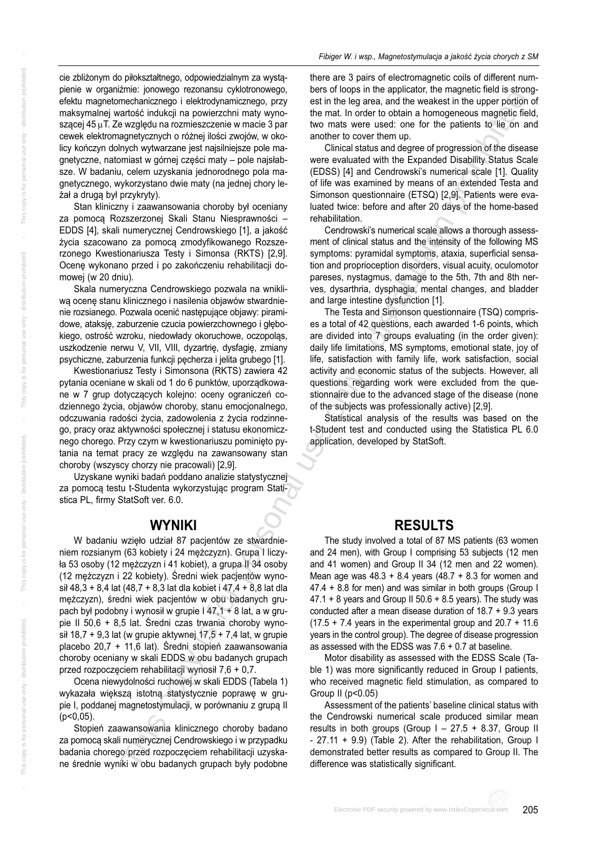cie zbliżonym do piłokształtnego, odpowiedzialnym za wystąpienie w organiźmie: jonowego rezonansu cyklotronowego, efektu magnetomechanicznego i elektrodynamicznego, przy mak sy malnej wartość indukcji na powierzchni maty wynoszącej 45  $\mu$ T. Ze względu na rozmieszczenie w macie 3 par cewek elektromagnetycznych o różnej ilości zwojów, w okolicy kończyn dolnych wytwarzane jest najsilniejsze pole magnetyczne, natomiast w górnej części maty – pole najsłabsze. W badaniu, celem uzyskania jednorodnego pola magnetycznego, wykorzystano dwie maty (na jednej chory leżał a drugą był przykryty).

Stan kliniczny i zaawan sowania choroby był oceniany za pomocą Rozszerzonej Skali Stanu Niesprawności – EDDS [4], skali numerycznej Cendrowskiego [1], a jakość życia szacowano za pomocą zmodyfikowanego Rozszerzonego Kwestionariusza Testy i Simonsa (RKTS) [2,9]. Ocenę wykonano przed i po zakończeniu rehabilitacji domowej (w 20 dniu).

Skala numeryczna Cendrowskiego pozwala na wnikliwą ocenę stanu klinicznego i nasilenia objawów stwardnienie rozsianego. Pozwala ocenić następujące objawy: piramidowe, ataksję, zaburzenie czucia powierzchownego i głębokiego, ostrość wzroku, niedowłady okoruchowe, oczopoląs, uszkodzenie nerwu V, VII, VIII, dyzartrię, dysfagię, zmiany psychiczne, zaburzenia funkcji pęcherza i jelita grubego [1].

Kwestionariusz Testy i Simonsona (RKTS) zawiera 42 pytania oceniane w skali od 1 do 6 punktów, uporządkowane w 7 grup dotyczących kolejno: oceny ograniczeń codziennego życia, objawów choroby, stanu emocjonalnego, odczuwania radości życia, zadowolenia z życia rodzinnego, pracy oraz aktywności społecznej i statusu ekonomicznego chorego. Przy czym w kwestionariuszu pominięto pytania na temat pracy ze względu na zawan sowany stan choroby (wszyscy chorzy nie pracowali) [2,9].

Uzyskane wyniki badań poddano analizie statystycznej za pomocą testu t-Studenta wykorzy stując program Statistica PL, firmy StatSoft ver. 6.0.

#### **WYNIKI**

W badaniu wzięło udział 87 pacjentów ze stwardnieniem rozsianym (63 kobiety i 24 mężczyzn). Grupa I liczyła 53 osoby (12 mężczyzn i 41 kobiet), a grupa II 34 osoby (12 mężczyzn i 22 kobiety). Średni wiek pacjentów wynosił 48,3 + 8,4 lat (48,7 + 8,3 lat dla kobiet i 47,4 + 8,8 lat dla mężczyzn), średni wiek pacjentów w obu badanych grupach był podobny i wynosił w grupie  $147,1 + 8$  lat, a w grupie II 50,6 + 8,5 lat. Średni czas trwania choroby wynosił 18,7 + 9,3 lat (w grupie aktywnej 17,5 + 7,4 lat, w grupie placebo 20,7 + 11,6 lat). Średni stopień zaawan sowania choroby oceniany w skali EDDS w obu badanych grupach przed rozpoczęciem rehabilitacji wynosił 7,6 + 0,7.

Ocena niewydolności ruchowej w skali EDDS (Tabela 1) wykazała większą istotną statystycznie poprawę w grupie I, poddanej magnetostymulacji, w porównaniu z grupą II (p<0,05).

Stopień zaawan sowania klinicznego choroby badano za pomocą skali numerycznej Cendrowskiego i w przypadku badania chorego przed rozpoczęciem rehabilitacji uzyskane średnie wyniki w obu badanych grupach były podobne

there are 3 pairs of electromagnetic coils of different num bers of loops in the applicator, the magnetic field is strong est in the leg area, and the weakest in the upper portion of the mat. In order to obtain a homogeneous magnetic field, two mats were used: one for the patients to lie on and another to cover them up.

Clinical status and degree of progression of the disease were evaluated with the Expanded Disability Status Scale (EDSS) [4] and Cendrowski's numerical scale [1]. Quality of life was examined by means of an extended Testa and Simonson questionnaire (ETSQ) [2,9]. Patients were evaluated twice: before and after 20 days of the home-based rehabilitation.

Cendrowski's numerical scale allows a thorough assess ment of clinical status and the intensity of the following MS symptoms: pyramidal symptoms, ataxia, superficial sensation and proprioception disorders, visual acuity, oculomotor pareses, nystagmus, damage to the 5th, 7th and 8th nerves, dysarthria, dysphagia, mental changes, and bladder and large intestine dysfunction [1].

The Testa and Simonson questionnaire (TSQ) compris es a total of 42 questions, each awarded 1-6 points, which are divided into 7 groups evaluating (in the order given): daily life limitations, MS symptoms, emotional state, joy of life, satisfaction with family life, work satisfaction, social activity and economic status of the subjects. However, all questions regarding work were excluded from the questionnaire due to the advanced stage of the disease (none of the subjects was professionally active) [2,9].

Statistical analysis of the results was based on the t-Student test and conducted using the Statistica PL 6.0 application, developed by StatSoft.

#### **RESULTS**

The study involved a total of 87 MS patients (63 women and 24 men), with Group I comprising 53 subjects (12 men and 41 women) and Group II 34 (12 men and 22 women). Mean age was  $48.3 + 8.4$  years  $(48.7 + 8.3)$  for women and 47.4 + 8.8 for men) and was similar in both groups (Group I  $47.1 + 8$  years and Group II 50.6 + 8.5 years). The study was conducted after a mean disease duration of 18.7 + 9.3 years  $(17.5 + 7.4$  years in the experimental group and  $20.7 + 11.6$ years in the control group). The degree of disease progression as assessed with the EDSS was 7.6 + 0.7 at baseline. The method of the state of the state of the state of the state of the state of the state of the state of the state of the state of the state of the state of the state of the state of the state of the state of the state of

Motor disability as assessed with the EDSS Scale (Table 1) was more significantly reduced in Group I patients, who received magnetic field stimulation, as compared to Group II (p<0.05)

Assessment of the patients' baseline clinical status with the Cendrowski numerical scale produced similar mean results in both groups (Group  $1 - 27.5 + 8.37$ , Group II - 27.11 + 9.9) (Table 2). After the rehabilitation, Group I demonstrated better results as compared to Group II. The difference was statistically significant.

inis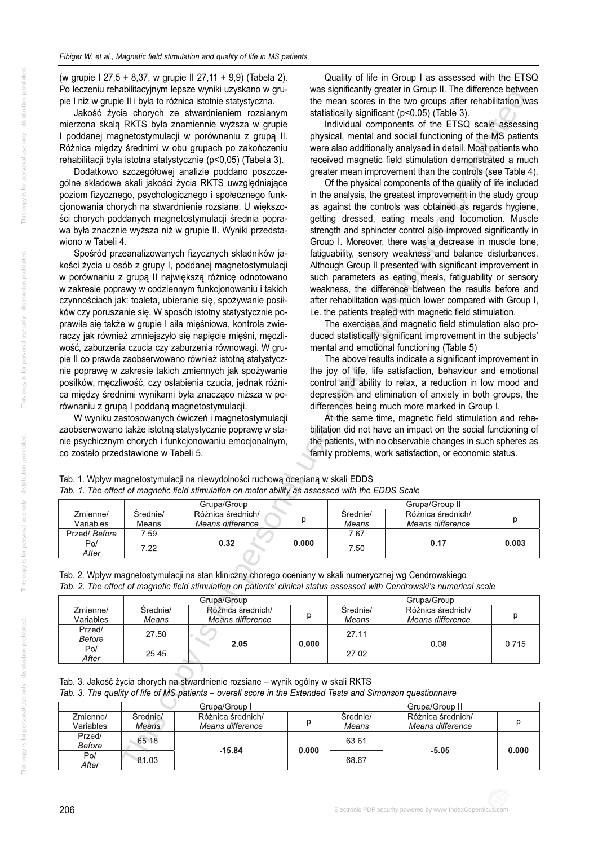(w grupie I 27,5 + 8,37, w grupie II 27,11 + 9,9) (Tabela 2). Po leczeniu rehabilitacyjnym lepsze wyniki uzyskano w grupie I niż w grupie II i była to różnica istotnie statystyczna.

Jakość życia chorych ze stwardnieniem rozsianym mierzona skalą RKTS była znamiennie wyższa w grupie I poddanej magnetostymulacji w porównaniu z grupą II. Różnica między średnimi w obu grupach po zakończeniu rehabilitacji była istotna statystycznie (p<0,05) (Tabela 3).

Dodatkowo szczegółowej analizie poddano poszczególne składowe skali jakości życia RKTS uwzględniające poziom fizycznego, psychologicznego i społecznego funkcjonowania chorych na stwardnienie rozsiane. U większości chorych poddanych magnetostymulacji średnia poprawa była znacznie wyższa niż w grupie II. Wyniki przedstawiono w Tabeli 4.

Spośród przeanalizowanych fizycznych składników jakości życia u osób z grupy I, poddanej magnetostymulacji w porównaniu z grupą II największą różnicę odnotowano w zakresie poprawy w codziennym funkcjonowaniu i takich czynnościach jak: toaleta, ubieranie się, spożywanie posiłków czy poruszanie się. W sposób istotny statystycznie poprawiła się także w grupie I siła mięśniowa, kontrola zwieraczy jak również zmniejszyło się napięcie mięśni, męczliwość, zaburzenia czucia czy zaburzenia równowagi. W grupie II co prawda zaobserwowano również istotną statystycznie poprawę w zakresie takich zmiennych jak spożywanie posiłków, męczliwość, czy osłabienia czucia, jednak różnica między średnimi wynikami była znacząco niższa w porównaniu z grupą I poddaną magnetostymulacji. **Pacification of magnetic field stimulation on patient and the effect of magnetic field status assessment of magnetic field status assessment of magnetic field status assessment of magnetic field status assessed of magnet** 

W wyniku zastosowanych ćwiczeń i magnetostymulacji za ob ser wo wano także istotną staty stycznie po prawę w stanie psychicznym chorych i funkcjonowaniu emocjonalnym, co zostało przedstawione w Tabeli 5.

Quality of life in Group I as assessed with the ETSQ was significantly greater in Group II. The difference between the mean scores in the two groups after rehabilitation was statistically significant (p<0.05) (Table 3).

Individual components of the ETSQ scale assessing physical, mental and social functioning of the MS patients were also additionally analysed in detail. Most patients who received magnetic field stimulation demonstrated a much greater mean improvement than the controls (see Table 4).

Of the physical components of the quality of life included in the analysis, the greatest improvement in the study group as against the controls was obtained as regards hygiene, getting dressed, eating meals and locomotion. Muscle strength and sphincter control also improved significantly in Group I. Moreover, there was a decrease in muscle tone, fatiguability, sensory weakness and balance disturbances. Although Group II presented with significant improvement in such parameters as eating meals, fatiguability or sensory weakness, the difference between the results before and after rehabilitation was much lower compared with Group I, i.e. the patients treated with magnetic field stimulation.

The exercises and magnetic field stimulation also produced statistically significant improvement in the subjects' mental and emotional functioning (Table 5)

The above results indicate a significant improvement in the joy of life, life satisfaction, behaviour and emotional control and ability to relax, a reduction in low mood and depression and elimination of anxiety in both groups, the differences being much more marked in Group I.

At the same time, magnetic field stimulation and rehabilitation did not have an impact on the social functioning of the patients, with no observable changes in such spheres as family problems, work satisfaction, or economic status.

| Tab. 1. The effect of magnetic field stimulation on motor ability as assessed with the EDDS Scale |                   |                                       |       |                   |                                       |       |  |  |  |
|---------------------------------------------------------------------------------------------------|-------------------|---------------------------------------|-------|-------------------|---------------------------------------|-------|--|--|--|
| Grupa/Group II<br>Grupa/Group I                                                                   |                   |                                       |       |                   |                                       |       |  |  |  |
| Zmienne/<br>Variables                                                                             | Srednie/<br>Means | Różnica średnich/<br>Means difference |       | Srednie/<br>Means | Różnica średnich/<br>Means difference |       |  |  |  |
| Przed/Before                                                                                      | 7.59              |                                       |       | 7.67              |                                       |       |  |  |  |
| Po/<br>$A_{\text{flux}}$                                                                          | 7.22              | 0.32                                  | 0.000 | 7.50              | 0.17                                  | 0.003 |  |  |  |

Tab. 1. Wpływ magnetostymulacji na niewydolności ruchową ocenianą w skali EDDS

|  | Tab. 2. Wpływ magnetostymulacji na stan kliniczny chorego oceniany w skali numerycznej wg Cendrowskiego                  |  |
|--|--------------------------------------------------------------------------------------------------------------------------|--|
|  | Tab. 2. The effect of magnetic field stimulation on patients' clinical status assessed with Cendrowski's numerical scale |  |

|                       | Grupa/Group       |                                       |       | Grupa/Group II    |                                       |       |
|-----------------------|-------------------|---------------------------------------|-------|-------------------|---------------------------------------|-------|
| Zmienne/<br>Variables | Srednie/<br>Means | Różnica średnich/<br>Means difference |       | Srednie/<br>Means | Różnica średnich/<br>Means difference |       |
| Przed/<br>Before      | 27.50             | 2.05                                  | 0.000 | 27.11             | 0.08                                  | 0.715 |
| Po/<br>After          | 25.45             |                                       |       | 27.02             |                                       |       |

Tab. 3. Jakość życia chorych na stwardnienie rozsiane – wynik ogólny w skali RKTS

*Tab. 3. The quality of life of MS patients – overall score in the Extended Testa and Simonson questionnaire*

|                       | Grupa/Group       |                                       | Grupa/Group II |                   |                                       |       |
|-----------------------|-------------------|---------------------------------------|----------------|-------------------|---------------------------------------|-------|
| Zmienne/<br>Variables | Srednie/<br>Means | Różnica średnich/<br>Means difference |                | Srednie/<br>Means | Różnica średnich/<br>Means difference |       |
| Przed/<br>Before      | 65.18             | $-15.84$                              | 0.000          | 63.61             | $-5.05$                               | 0.000 |
| Po/<br>After          | 81.03             |                                       |                | 68.67             |                                       |       |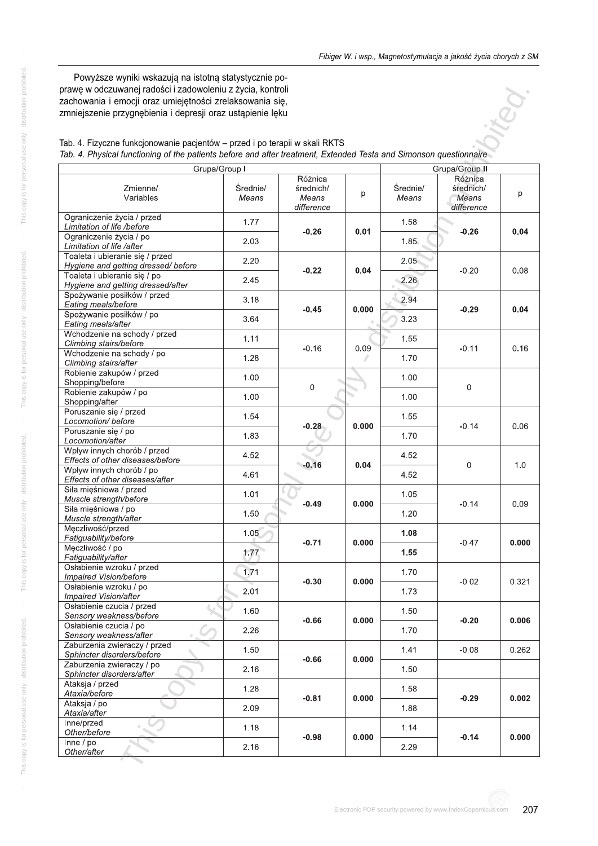Powyższe wyniki wskazują na istotną statystycznie poprawę w odczuwanej radości i zadowoleniu z życia, kontroli zachowania i emocji oraz umiejętności zrelaksowania się, zmniej szenie przygnę bienia i depresji oraz ustą pienie lęku



| Tab. 4. Fizyczne funkcjonowanie pacjentów – przed i po terapii w skali RKTS                                        |  |
|--------------------------------------------------------------------------------------------------------------------|--|
| Tab. 4. Physical functioning of the patients before and after treatment, Extended Testa and Simonson questionnaire |  |

| prawę w odczuwanej radości i zadowoleniu z życia, kontroli<br>zachowania i emocji oraz umiejętności zrelaksowania się,<br>zmniejszenie przygnębienia i depresji oraz ustąpienie lęku<br>Tab. 4. Fizyczne funkcjonowanie pacjentów – przed i po terapii w skali RKTS |                   |                                             |       |                   |                                                               |       |
|---------------------------------------------------------------------------------------------------------------------------------------------------------------------------------------------------------------------------------------------------------------------|-------------------|---------------------------------------------|-------|-------------------|---------------------------------------------------------------|-------|
| Tab. 4. Physical functioning of the patients before and after treatment, Extended Testa and Simonson questionnaire                                                                                                                                                  |                   |                                             |       |                   |                                                               |       |
| Grupa/Group I<br>Zmienne/<br>Variables                                                                                                                                                                                                                              | Średnie/<br>Means | Różnica<br>średnich/<br>Means<br>difference | p     | Średnie/<br>Means | Grupa/Group II<br>Różnica<br>średnich/<br>Means<br>difference | p     |
| Ograniczenie życia / przed<br>Limitation of life /before<br>Ograniczenie życia / po                                                                                                                                                                                 | 1.77<br>2.03      | $-0.26$                                     | 0.01  | 1.58<br>1.85      | $-0.26$                                                       | 0.04  |
| Limitation of life /after<br>Toaleta i ubieranie się / przed<br>Hygiene and getting dressed/before<br>Toaleta i ubieranie się / po                                                                                                                                  | 2.20<br>2.45      | $-0.22$                                     | 0.04  | 2.05<br>2.26      | $-0.20$                                                       | 0.08  |
| Hygiene and getting dressed/after<br>Spożywanie posiłków / przed<br>Eating meals/before<br>Spożywanie posiłków / po                                                                                                                                                 | 3.18              | $-0.45$                                     | 0.000 | 2.94              | $-0.29$                                                       | 0.04  |
| Eating meals/after<br>Wchodzenie na schody / przed<br>Climbing stairs/before                                                                                                                                                                                        | 3.64<br>1.11      | $-0.16$                                     | 0.09  | 3.23<br>1.55      | $-0.11$                                                       | 0.16  |
| Wchodzenie na schody / po<br>Climbing stairs/after<br>Robienie zakupów / przed<br>Shopping/before                                                                                                                                                                   | 1.28<br>1.00      |                                             |       | 1.70<br>1.00      |                                                               |       |
| Robienie zakupów / po<br>Shopping/after<br>Poruszanie się / przed                                                                                                                                                                                                   | 1.00              | 0                                           |       | 1.00              | $\mathbf 0$                                                   |       |
| Locomotion/ before<br>Poruszanie się / po<br>Locomotion/after                                                                                                                                                                                                       | 1.54<br>1.83      | $-0.28$                                     | 0.000 | 1.55<br>1.70      | $-0.14$                                                       | 0.06  |
| Wpływ innych chorób / przed<br>Effects of other diseases/before<br>Wpływ innych chorób / po                                                                                                                                                                         | 4.52<br>4.61      | $-0.16$                                     | 0.04  | 4.52<br>4.52      | $\mathbf 0$                                                   | 1.0   |
| Effects of other diseases/after<br>Siła mięśniowa / przed<br>Muscle strength/before<br>Siła mięśniowa / po                                                                                                                                                          | 1.01<br>1.50      | $-0.49$                                     | 0.000 | 1.05<br>1.20      | $-0.14$                                                       | 0.09  |
| Muscle strength/after<br>Męczliwość/przed<br>Fatiguability/before<br>Meczliwość / po                                                                                                                                                                                | 1.05              | $-0.71$                                     | 0.000 | 1.08              | $-0.47$                                                       | 0.000 |
| Fatiguability/after<br>Osłabienie wzroku / przed<br>Impaired Vision/before                                                                                                                                                                                          | 1.77<br>1.71      |                                             |       | 1.55<br>1.70      |                                                               |       |
| Osłabienie wzroku / po<br>Impaired Vision/after<br>Osłabienie czucia / przed                                                                                                                                                                                        | 2.01              | $-0.30$                                     | 0.000 | 1.73              | $-0.02$                                                       | 0.321 |
| Sensory weakness/before<br>Osłabienie czucia / po<br>Sensory weakness/after                                                                                                                                                                                         | 1.60<br>2.26      | $-0.66$                                     | 0.000 | 1.50<br>1.70      | $-0.20$                                                       | 0.006 |
| Zaburzenia zwieraczy / przed<br>Sphincter disorders/before<br>Zaburzenia zwieraczy / po                                                                                                                                                                             | 1.50<br>2.16      | $-0.66$                                     | 0.000 | 1.41<br>1.50      | $-0.08$                                                       | 0.262 |
| Sphincter disorders/after<br>Ataksja / przed<br>Ataxia/before                                                                                                                                                                                                       | 1.28              | $-0.81$                                     | 0.000 | 1.58              | $-0.29$                                                       | 0.002 |
| Ataksja / po<br>Ataxia/after<br>Inne/przed                                                                                                                                                                                                                          | 2.09<br>1.18      |                                             |       | 1.88<br>1.14      |                                                               |       |
| Other/before<br>Inne/po<br>Other/after                                                                                                                                                                                                                              | 2.16              | $-0.98$                                     | 0.000 | 2.29              | $-0.14$                                                       | 0.000 |
|                                                                                                                                                                                                                                                                     |                   |                                             |       |                   |                                                               |       |

 $\bar{1}$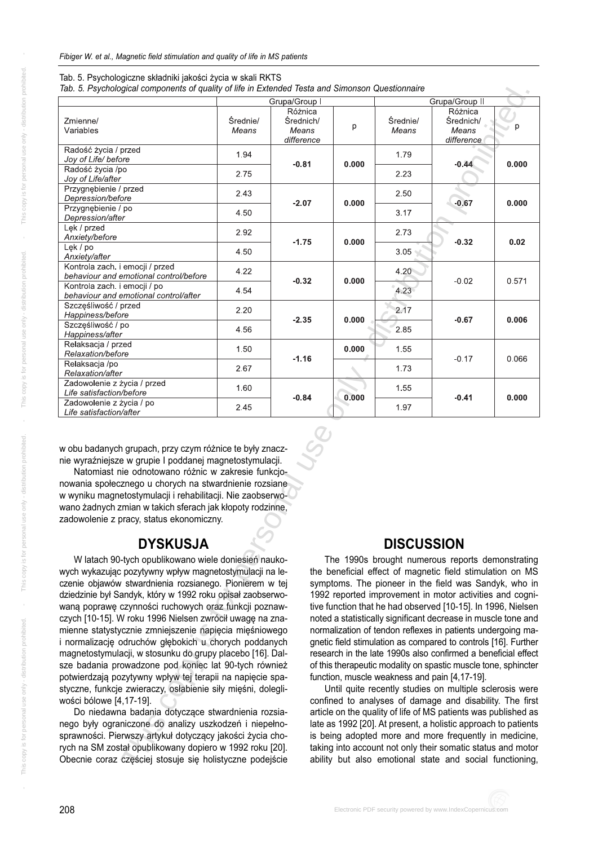| Tab. 5. Psychological components of quality of life in Extended Testa and Simonson Questionnaire                                                                                                                                                                                                                                                                                                                                                                                                                                                                                                                                                                                                                                                                                                                                                                                                                                                                                                                                                                                                                                                                                                                                                                                                                                                                                                                                                                                                                                                                                                                                                                                                                                                                                                                                                 |                   | Grupa/Group I                    |       |                   | Grupa/Group II                                   |       |
|--------------------------------------------------------------------------------------------------------------------------------------------------------------------------------------------------------------------------------------------------------------------------------------------------------------------------------------------------------------------------------------------------------------------------------------------------------------------------------------------------------------------------------------------------------------------------------------------------------------------------------------------------------------------------------------------------------------------------------------------------------------------------------------------------------------------------------------------------------------------------------------------------------------------------------------------------------------------------------------------------------------------------------------------------------------------------------------------------------------------------------------------------------------------------------------------------------------------------------------------------------------------------------------------------------------------------------------------------------------------------------------------------------------------------------------------------------------------------------------------------------------------------------------------------------------------------------------------------------------------------------------------------------------------------------------------------------------------------------------------------------------------------------------------------------------------------------------------------|-------------------|----------------------------------|-------|-------------------|--------------------------------------------------|-------|
|                                                                                                                                                                                                                                                                                                                                                                                                                                                                                                                                                                                                                                                                                                                                                                                                                                                                                                                                                                                                                                                                                                                                                                                                                                                                                                                                                                                                                                                                                                                                                                                                                                                                                                                                                                                                                                                  |                   | Różnica                          |       |                   | Różnica                                          |       |
| Zmienne/<br>Variables                                                                                                                                                                                                                                                                                                                                                                                                                                                                                                                                                                                                                                                                                                                                                                                                                                                                                                                                                                                                                                                                                                                                                                                                                                                                                                                                                                                                                                                                                                                                                                                                                                                                                                                                                                                                                            | Średnie/<br>Means | Srednich/<br>Means<br>difference | p     | Średnie/<br>Means | Średnich/<br>Means<br>difference                 | p     |
| Radość życia / przed<br>Joy of Life/ before                                                                                                                                                                                                                                                                                                                                                                                                                                                                                                                                                                                                                                                                                                                                                                                                                                                                                                                                                                                                                                                                                                                                                                                                                                                                                                                                                                                                                                                                                                                                                                                                                                                                                                                                                                                                      | 1.94              | $-0.81$                          | 0.000 | 1.79              | $-0.44$                                          | 0.000 |
| Radość życia /po<br>Joy of Life/after                                                                                                                                                                                                                                                                                                                                                                                                                                                                                                                                                                                                                                                                                                                                                                                                                                                                                                                                                                                                                                                                                                                                                                                                                                                                                                                                                                                                                                                                                                                                                                                                                                                                                                                                                                                                            | 2.75              |                                  |       | 2.23              |                                                  |       |
| Przygnębienie / przed<br>Depression/before                                                                                                                                                                                                                                                                                                                                                                                                                                                                                                                                                                                                                                                                                                                                                                                                                                                                                                                                                                                                                                                                                                                                                                                                                                                                                                                                                                                                                                                                                                                                                                                                                                                                                                                                                                                                       | 2.43              | $-2.07$                          | 0.000 | 2.50              | $-0.67$                                          | 0.000 |
| Przygnębienie / po<br>Depression/after                                                                                                                                                                                                                                                                                                                                                                                                                                                                                                                                                                                                                                                                                                                                                                                                                                                                                                                                                                                                                                                                                                                                                                                                                                                                                                                                                                                                                                                                                                                                                                                                                                                                                                                                                                                                           | 4.50              |                                  |       | 3.17              |                                                  |       |
| Lek / przed<br>Anxiety/before                                                                                                                                                                                                                                                                                                                                                                                                                                                                                                                                                                                                                                                                                                                                                                                                                                                                                                                                                                                                                                                                                                                                                                                                                                                                                                                                                                                                                                                                                                                                                                                                                                                                                                                                                                                                                    | 2.92              |                                  |       | 2.73              |                                                  |       |
| Lęk / po<br>Anxiety/after                                                                                                                                                                                                                                                                                                                                                                                                                                                                                                                                                                                                                                                                                                                                                                                                                                                                                                                                                                                                                                                                                                                                                                                                                                                                                                                                                                                                                                                                                                                                                                                                                                                                                                                                                                                                                        | 4.50              | $-1.75$                          | 0.000 | 3.05              | $-0.32$                                          | 0.02  |
| Kontrola zach. i emocji / przed<br>behaviour and emotional control/before                                                                                                                                                                                                                                                                                                                                                                                                                                                                                                                                                                                                                                                                                                                                                                                                                                                                                                                                                                                                                                                                                                                                                                                                                                                                                                                                                                                                                                                                                                                                                                                                                                                                                                                                                                        | 4.22              | $-0.32$                          | 0.000 | 4.20              | $-0.02$                                          | 0.571 |
| Kontrola zach. i emocji / po<br>behaviour and emotional control/after                                                                                                                                                                                                                                                                                                                                                                                                                                                                                                                                                                                                                                                                                                                                                                                                                                                                                                                                                                                                                                                                                                                                                                                                                                                                                                                                                                                                                                                                                                                                                                                                                                                                                                                                                                            | 4.54              |                                  |       | 4.23              |                                                  |       |
| Szczęśliwość / przed<br>Happiness/before                                                                                                                                                                                                                                                                                                                                                                                                                                                                                                                                                                                                                                                                                                                                                                                                                                                                                                                                                                                                                                                                                                                                                                                                                                                                                                                                                                                                                                                                                                                                                                                                                                                                                                                                                                                                         | 2.20              |                                  |       | 2.17              |                                                  |       |
| Szczęśliwość / po<br>Happiness/after                                                                                                                                                                                                                                                                                                                                                                                                                                                                                                                                                                                                                                                                                                                                                                                                                                                                                                                                                                                                                                                                                                                                                                                                                                                                                                                                                                                                                                                                                                                                                                                                                                                                                                                                                                                                             | 4.56              | $-2.35$                          | 0.000 | 2.85              | $-0.67$                                          | 0.006 |
| Relaksacja / przed<br>Relaxation/before                                                                                                                                                                                                                                                                                                                                                                                                                                                                                                                                                                                                                                                                                                                                                                                                                                                                                                                                                                                                                                                                                                                                                                                                                                                                                                                                                                                                                                                                                                                                                                                                                                                                                                                                                                                                          | 1.50              |                                  | 0.000 | 1.55              |                                                  |       |
| Relaksacja /po<br>Relaxation/after                                                                                                                                                                                                                                                                                                                                                                                                                                                                                                                                                                                                                                                                                                                                                                                                                                                                                                                                                                                                                                                                                                                                                                                                                                                                                                                                                                                                                                                                                                                                                                                                                                                                                                                                                                                                               | 2.67              | $-1.16$                          |       | 1.73              | $-0.17$                                          | 0.066 |
| Zadowolenie z życia / przed<br>Life satisfaction/before                                                                                                                                                                                                                                                                                                                                                                                                                                                                                                                                                                                                                                                                                                                                                                                                                                                                                                                                                                                                                                                                                                                                                                                                                                                                                                                                                                                                                                                                                                                                                                                                                                                                                                                                                                                          | 1,60              |                                  | 0.000 | 1.55              |                                                  | 0.000 |
| Zadowolenie z życia / po<br>Life satisfaction/after                                                                                                                                                                                                                                                                                                                                                                                                                                                                                                                                                                                                                                                                                                                                                                                                                                                                                                                                                                                                                                                                                                                                                                                                                                                                                                                                                                                                                                                                                                                                                                                                                                                                                                                                                                                              | 2.45              | $-0.84$                          |       | 1.97              | $-0.41$                                          |       |
| nie wyraźniejsze w grupie I poddanej magnetostymulacji.<br>Natomiast nie odnotowano różnic w zakresie funkcjo-<br>nowania społecznego u chorych na stwardnienie rozsiane<br>w wyniku magnetostymulacji i rehabilitacji. Nie zaobserwo-<br>wano żadnych zmian w takich sferach jak kłopoty rodzinne,                                                                                                                                                                                                                                                                                                                                                                                                                                                                                                                                                                                                                                                                                                                                                                                                                                                                                                                                                                                                                                                                                                                                                                                                                                                                                                                                                                                                                                                                                                                                              |                   |                                  |       |                   |                                                  |       |
| zadowolenie z pracy, status ekonomiczny.<br><b>DYSKUSJA</b>                                                                                                                                                                                                                                                                                                                                                                                                                                                                                                                                                                                                                                                                                                                                                                                                                                                                                                                                                                                                                                                                                                                                                                                                                                                                                                                                                                                                                                                                                                                                                                                                                                                                                                                                                                                      |                   |                                  |       | <b>DISCUSSION</b> |                                                  |       |
| W latach 90-tych opublikowano wiele doniesień nauko-                                                                                                                                                                                                                                                                                                                                                                                                                                                                                                                                                                                                                                                                                                                                                                                                                                                                                                                                                                                                                                                                                                                                                                                                                                                                                                                                                                                                                                                                                                                                                                                                                                                                                                                                                                                             |                   |                                  |       |                   | The 1990s brought numerous reports demonstrating |       |
| the beneficial effect of magnetic field stimulation on MS<br>wych wykazując pozytywny wpływ magnetostymulacji na le-<br>czenie objawów stwardnienia rozsianego. Pionierem w tej<br>symptoms. The pioneer in the field was Sandyk, who in<br>dziedzinie był Sandyk, który w 1992 roku opisał zaobserwo-<br>1992 reported improvement in motor activities and cogni-<br>waną poprawę czynności ruchowych oraz funkcji poznaw-<br>tive function that he had observed [10-15]. In 1996, Nielsen<br>czych [10-15]. W roku 1996 Nielsen zwrócił uwagę na zna-<br>noted a statistically significant decrease in muscle tone and<br>mienne statystycznie zmniejszenie napięcia mięśniowego<br>normalization of tendon reflexes in patients undergoing ma-<br>i normalizację odruchów głębokich u chorych poddanych<br>gnetic field stimulation as compared to controls [16]. Further<br>magnetostymulacji, w stosunku do grupy placebo [16]. Dal-<br>research in the late 1990s also confirmed a beneficial effect<br>sze badania prowadzone pod koniec lat 90-tych również<br>of this therapeutic modality on spastic muscle tone, sphincter<br>potwierdzają pozytywny wpływ tej terapii na napięcie spa-<br>function, muscle weakness and pain [4,17-19].<br>styczne, funkcje zwieraczy, osłabienie siły mięśni, dolegli-<br>Until quite recently studies on multiple sclerosis were<br>wości bólowe [4,17-19].<br>confined to analyses of damage and disability. The first<br>Do niedawna badania dotyczące stwardnienia rozsia-<br>article on the quality of life of MS patients was published as<br>nego były ograniczone do analizy uszkodzeń i niepełno-<br>late as 1992 [20]. At present, a holistic approach to patients<br>sprawności. Pierwszy artykuł dotyczący jakości życia cho-<br>is being adopted more and more frequently in medicine, |                   |                                  |       |                   |                                                  |       |
| rych na SM został opublikowany dopiero w 1992 roku [20].<br>taking into account not only their somatic status and motor<br>Obecnie coraz częściej stosuje się holistyczne podejście<br>ability but also emotional state and social functioning,                                                                                                                                                                                                                                                                                                                                                                                                                                                                                                                                                                                                                                                                                                                                                                                                                                                                                                                                                                                                                                                                                                                                                                                                                                                                                                                                                                                                                                                                                                                                                                                                  |                   |                                  |       |                   |                                                  |       |

#### Tab. 5. Psychologiczne składniki jakości życia w skali RKTS

## **DYSKUSJA**

## **DISCUSSION**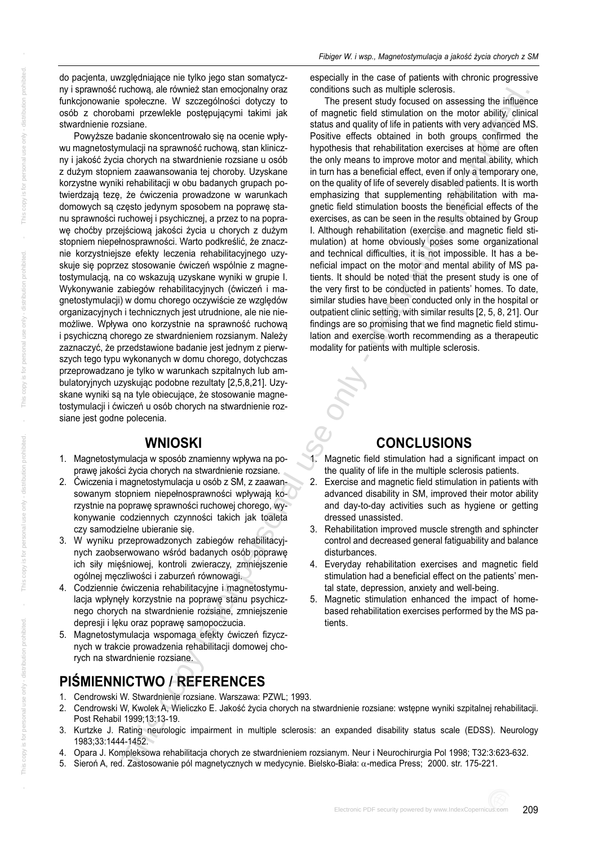do pacjenta, uwzględniające nie tylko jego stan somatyczny i sprawność ruchową, ale również stan emocjonalny oraz funkcjonowanie społeczne. W szczególności dotyczy to osób z chorobami przewlekle postępującymi takimi jak stwardnienie rozsiane.

Powyższe badanie skoncentrowało się na ocenie wpływu magnetostymulacji na sprawność ruchową, stan kliniczny i jakość życia chorych na stwardnienie rozsiane u osób z dużym stopniem zaawan sowania tej choroby. Uzy skane korzystne wyniki rehabilitacji w obu badanych grupach potwierdzają tezę, że ćwiczenia prowadzone w warunkach domowych są często jedynym sposobem na poprawę stanu sprawności ruchowej i psychicznej, a przez to na poprawę choćby przejściową jakości życia u chorych z dużym stopniem niepełnosprawności. Warto podkreślić, że znacznie korzystniejsze efekty leczenia rehabilitacyjnego uzyskuje się poprzez stosowanie ćwiczeń wspólnie z magnetostymulacją, na co wskazują uzyskane wyniki w grupie I. Wykonywanie zabiegów rehabilitacyjnych (ćwiczeń i magnetostymulacji) w domu chorego oczywiście ze względów organizacyjnych i technicznych jest utrudnione, ale nie niemożliwe. Wpływa ono korzystnie na sprawność ruchową i psychiczną chorego ze stwardnieniem rozsianym. Należy zaznaczyć, że przedstawione badanie jest jednym z pierwszych tego typu wykonanych w domu chorego, dotychczas przeprowadzano je tylko w warunkach szpitalnych lub ambulatoryjnych uzyskując podobne rezultaty [2,5,8,21]. Uzyskane wyniki są na tyle obiecujące, że stosowanie magnetostymulacji i ćwiczeń u osób chorych na stwardnienie rozsiane jest godne polecenia. **N** red. Exception and the magnetic state of the magnetic state in the magnetic state in the magnetic state of the magnetic state in the magnetic state in the magnetic state in the magnetic state in the magnetic state in

## **WNIOSKI**

- 1. Magnetostymulacja w sposób znamienny wpływa na poprawę jakości życia chorych na stwardnienie rozsiane.
- 2. Ćwiczenia i magnetostymulacia u osób z SM, z zaawansowanym stopniem niepełnosprawności wpływają korzystnie na poprawę sprawności ruchowej chorego, wykonywanie codziennych czynności takich jak toaleta czy samodzielne ubieranie się.
- 3. W wyniku przeprowadzonych zabiegów rehabilitacyjnych zaobserwowano wśród badanych osób poprawę ich siły mięśniowej, kontroli zwieraczy, zmniejszenie ogólnej męczliwości i zaburzeń równowagi.
- 4. Codziennie ćwiczenia rehabilitacyjne i magnetostymulacja wpłynęły korzystnie na poprawę stanu psychicznego chorych na stward nienie rozsiane, zmniej szenie depresji i lęku oraz poprawę samopoczucia.
- 5. Magnetostymulacja wspomaga efekty ćwiczeń fizycznych w trakcie prowadzenia rehabilitacji domowej chorych na stwardnienie rozsiane.

# **PIŚMIENNICTWO / REFERENCES**

- 1. Cendrowski W. Stwardnienie rozsiane. Warszawa: PZWL; 1993.
- 2. Cendrowski W, Kwolek A, Wieliczko E. Jakość życia chorych na stwardnienie rozsiane: wstępne wyniki szpitalnej rehabilitacji. Post Rehabil 1999;13:13-19.
- 3. Kurtzke J. Rating neurologic impairment in multiple sclerosis: an expanded disability status scale (EDSS). Neurology 1983;33:1444-1452.
- 4. Opara J. Kompleksowa rehabilitacja chorych ze stwardnieniem rozsianym. Neur i Neurochirurgia Pol 1998; T32:3:623-632.
- 5. Sieroń A, red. Zastosowanie pól magnetycznych w medycynie. Bielsko-Biała: α-medica Press; 2000. str. 175-221.

The present study focused on assessing the influence of magnetic field stimulation on the motor ability, clinical status and quality of life in patients with very advanced MS. Positive effects obtained in both groups confirmed the hypothesis that rehabilitation exercises at home are often the only means to improve motor and mental ability, which in turn has a beneficial effect, even if only a temporary one, on the quality of life of severely disabled patients. It is worth emphasizing that supplementing rehabilitation with magnetic field stimulation boosts the beneficial effects of the exercises, as can be seen in the results obtained by Group I. Although rehabilitation (exercise and magnetic field stimulation) at home obviously poses some organizational and technical difficulties, it is not impossible. It has a beneficial impact on the motor and mental ability of MS patients. It should be noted that the present study is one of the very first to be conducted in patients' homes. To date, similar studies have been conducted only in the hospital or outpatient clinic setting, with similar results [2, 5, 8, 21]. Our findings are so promising that we find magnetic field stimulation and exercise worth recommending as a therapeutic modality for patients with multiple sclerosis.

## **CONCLUSIONS**

- Magnetic field stimulation had a significant impact on the quality of life in the multiple sclerosis patients.
- 2. Exercise and magnetic field stimulation in patients with advanced disability in SM, improved their motor ability and day-to-day activities such as hygiene or getting dressed unassisted.
- 3. Rehabilitation improved muscle strength and sphincter control and decreased general fatiguability and balance disturbances.
- 4. Everyday rehabilitation exercises and magnetic field stimulation had a beneficial effect on the patients' mental state, depression, anxiety and well-being.
- 5. Magnetic stimulation enhanced the impact of homebased rehabilitation exercises performed by the MS patients.